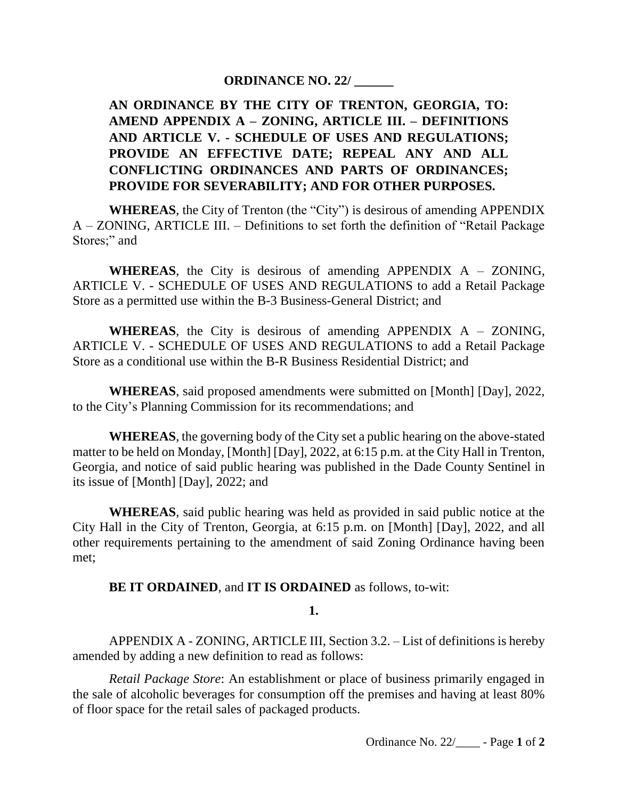# **ORDINANCE NO. 22/ \_\_\_\_\_\_**

# **AN ORDINANCE BY THE CITY OF TRENTON, GEORGIA, TO: AMEND APPENDIX A – ZONING, ARTICLE III. – DEFINITIONS AND ARTICLE V. - SCHEDULE OF USES AND REGULATIONS; PROVIDE AN EFFECTIVE DATE; REPEAL ANY AND ALL CONFLICTING ORDINANCES AND PARTS OF ORDINANCES; PROVIDE FOR SEVERABILITY; AND FOR OTHER PURPOSES.**

**WHEREAS**, the City of Trenton (the "City") is desirous of amending APPENDIX A – ZONING, ARTICLE III. – Definitions to set forth the definition of "Retail Package Stores;" and

**WHEREAS**, the City is desirous of amending APPENDIX A – ZONING, ARTICLE V. - SCHEDULE OF USES AND REGULATIONS to add a Retail Package Store as a permitted use within the B-3 Business-General District; and

**WHEREAS**, the City is desirous of amending APPENDIX A – ZONING, ARTICLE V. - SCHEDULE OF USES AND REGULATIONS to add a Retail Package Store as a conditional use within the B-R Business Residential District; and

**WHEREAS**, said proposed amendments were submitted on [Month] [Day], 2022, to the City's Planning Commission for its recommendations; and

**WHEREAS**, the governing body of the City set a public hearing on the above-stated matter to be held on Monday, [Month] [Day], 2022, at 6:15 p.m. at the City Hall in Trenton, Georgia, and notice of said public hearing was published in the Dade County Sentinel in its issue of [Month] [Day], 2022; and

**WHEREAS**, said public hearing was held as provided in said public notice at the City Hall in the City of Trenton, Georgia, at 6:15 p.m. on [Month] [Day], 2022, and all other requirements pertaining to the amendment of said Zoning Ordinance having been met;

**BE IT ORDAINED**, and **IT IS ORDAINED** as follows, to-wit:

**1.**

APPENDIX A - ZONING, ARTICLE III, Section 3.2. – List of definitions is hereby amended by adding a new definition to read as follows:

*Retail Package Store*: An establishment or place of business primarily engaged in the sale of alcoholic beverages for consumption off the premises and having at least 80% of floor space for the retail sales of packaged products.